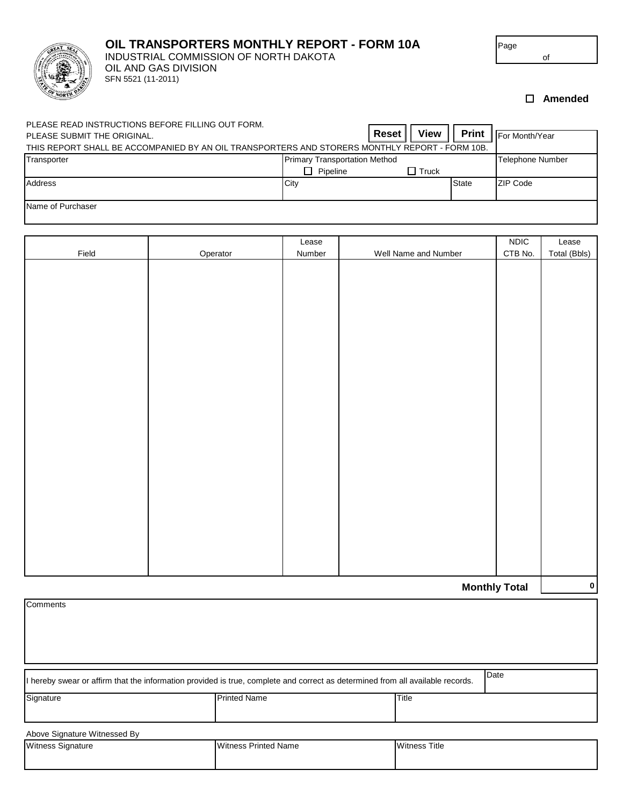

## **OIL TRANSPORTERS MONTHLY REPORT - FORM 10A**

OIL AND GAS DIVISION SFN 5521 (11-2011) INDUSTRIAL COMMISSION OF NORTH DAKOTA Page

**Amended**

of

| PLEASE READ INSTRUCTIONS BEFORE FILLING OUT FORM.                                              |                                      |              |              |                  |                  |
|------------------------------------------------------------------------------------------------|--------------------------------------|--------------|--------------|------------------|------------------|
| PLEASE SUBMIT THE ORIGINAL.                                                                    |                                      | <b>Reset</b> | <b>View</b>  | <b>Print</b>     | - For Month/Year |
| THIS REPORT SHALL BE ACCOMPANIED BY AN OIL TRANSPORTERS AND STORERS MONTHLY REPORT - FORM 10B. |                                      |              |              |                  |                  |
| Transporter                                                                                    | <b>Primary Transportation Method</b> |              |              | Telephone Number |                  |
|                                                                                                | Pipeline                             |              | $\Box$ Truck |                  |                  |
| Address                                                                                        | City                                 |              |              | State            | ZIP Code         |
|                                                                                                |                                      |              |              |                  |                  |
| Name of Purchaser                                                                              |                                      |              |              |                  |                  |

|       |          | Lease  |                      | <b>NDIC</b>          | Lease        |
|-------|----------|--------|----------------------|----------------------|--------------|
| Field | Operator | Number | Well Name and Number | CTB No.              | Total (Bbls) |
|       |          |        |                      |                      |              |
|       |          |        |                      |                      |              |
|       |          |        |                      |                      |              |
|       |          |        |                      |                      |              |
|       |          |        |                      |                      |              |
|       |          |        |                      |                      |              |
|       |          |        |                      |                      |              |
|       |          |        |                      |                      |              |
|       |          |        |                      |                      |              |
|       |          |        |                      |                      |              |
|       |          |        |                      |                      |              |
|       |          |        |                      |                      |              |
|       |          |        |                      |                      |              |
|       |          |        |                      |                      |              |
|       |          |        |                      |                      |              |
|       |          |        |                      |                      |              |
|       |          |        |                      |                      |              |
|       |          |        |                      |                      |              |
|       |          |        |                      |                      |              |
|       |          |        |                      |                      |              |
|       |          |        |                      |                      |              |
|       |          |        |                      |                      |              |
|       |          |        |                      |                      |              |
|       |          |        |                      | <b>Monthly Total</b> | $\pmb{0}$    |

| Comments                                                                                                                               |                             |                      |  |  |  |  |
|----------------------------------------------------------------------------------------------------------------------------------------|-----------------------------|----------------------|--|--|--|--|
|                                                                                                                                        |                             |                      |  |  |  |  |
|                                                                                                                                        |                             |                      |  |  |  |  |
| Date<br>I hereby swear or affirm that the information provided is true, complete and correct as determined from all available records. |                             |                      |  |  |  |  |
| Signature                                                                                                                              | <b>Printed Name</b>         | Title                |  |  |  |  |
| Above Signature Witnessed By                                                                                                           |                             |                      |  |  |  |  |
| Witness Signature                                                                                                                      | <b>Witness Printed Name</b> | <b>Witness Title</b> |  |  |  |  |